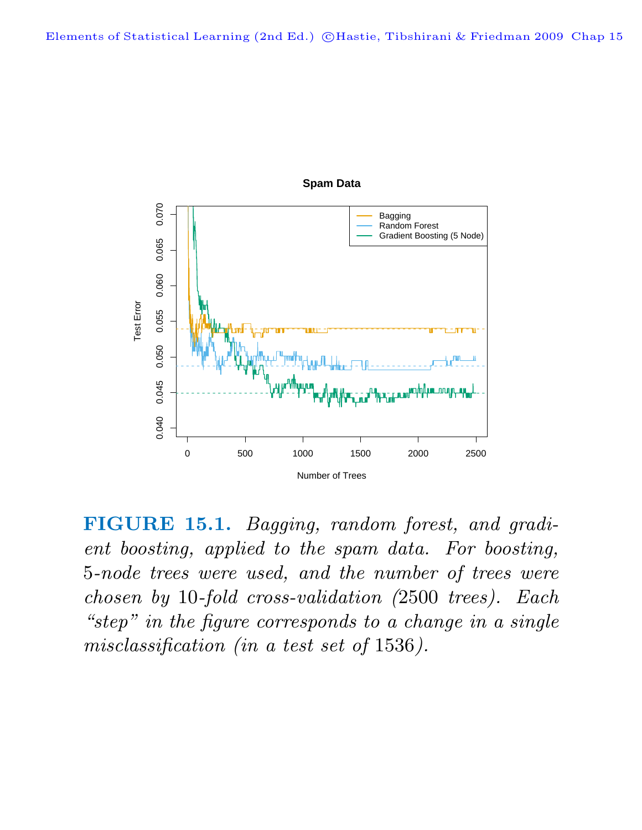

**FIGURE 15.1.** Bagging, random forest, and gradient boosting, applied to the spam data. For boosting, 5-node trees were used, and the number of trees were chosen by 10-fold cross-validation (2500 trees). Each "step" in the figure corresponds to a change in a single misclassification (in a test set of 1536).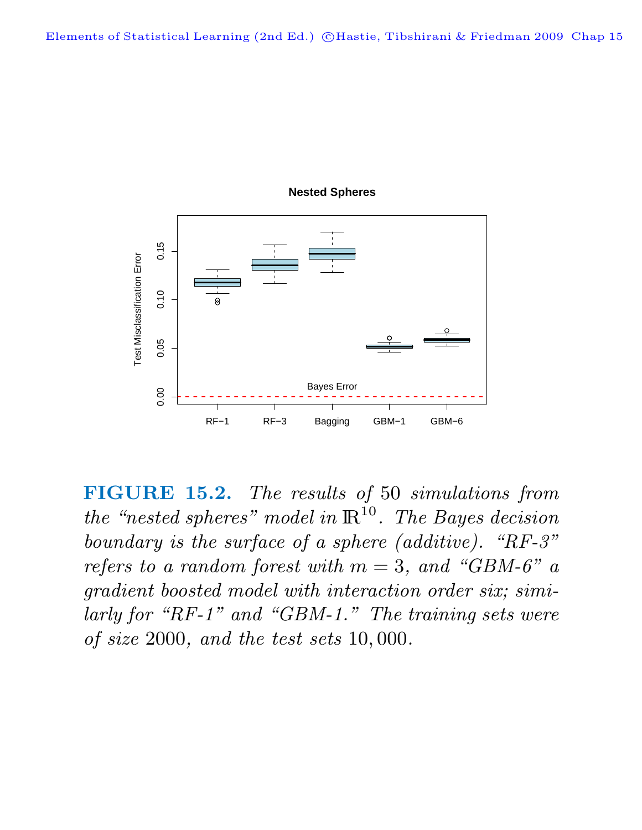

**Nested Spheres**

**FIGURE 15.2.** The results of 50 simulations from the "nested spheres" model in  $\mathbb{R}^{10}$ . The Bayes decision boundary is the surface of a sphere (additive). "RF-3" refers to a random forest with  $m = 3$ , and "GBM-6" a gradient boosted model with interaction order six; similarly for "RF-1" and "GBM-1." The training sets were of size 2000, and the test sets 10, 000.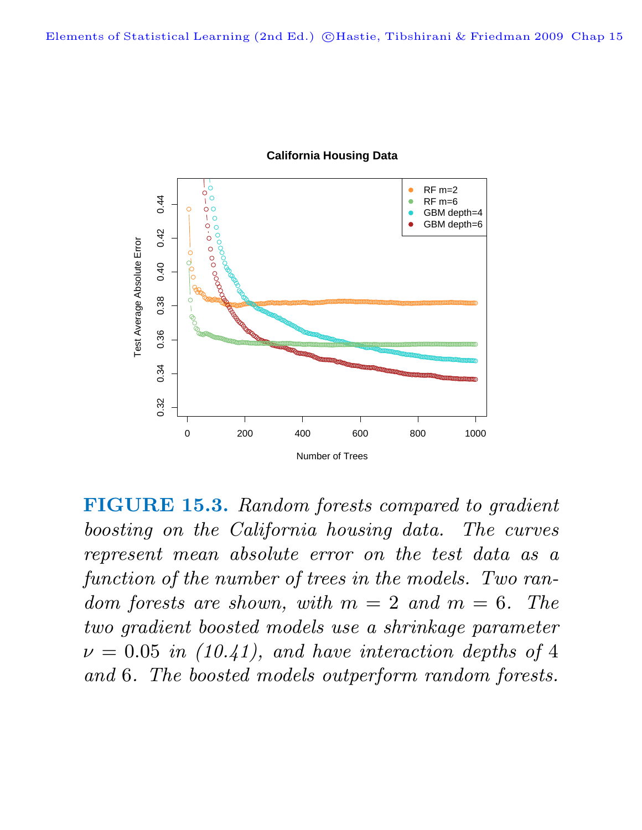

## **California Housing Data**

**FIGURE 15.3.** Random forests compared to gradient boosting on the California housing data. The curves represent mean absolute error on the test data as a function of the number of trees in the models. Two random forests are shown, with  $m = 2$  and  $m = 6$ . The two gradient boosted models use a shrinkage parameter  $\nu = 0.05$  in (10.41), and have interaction depths of 4 and 6. The boosted models outperform random forests.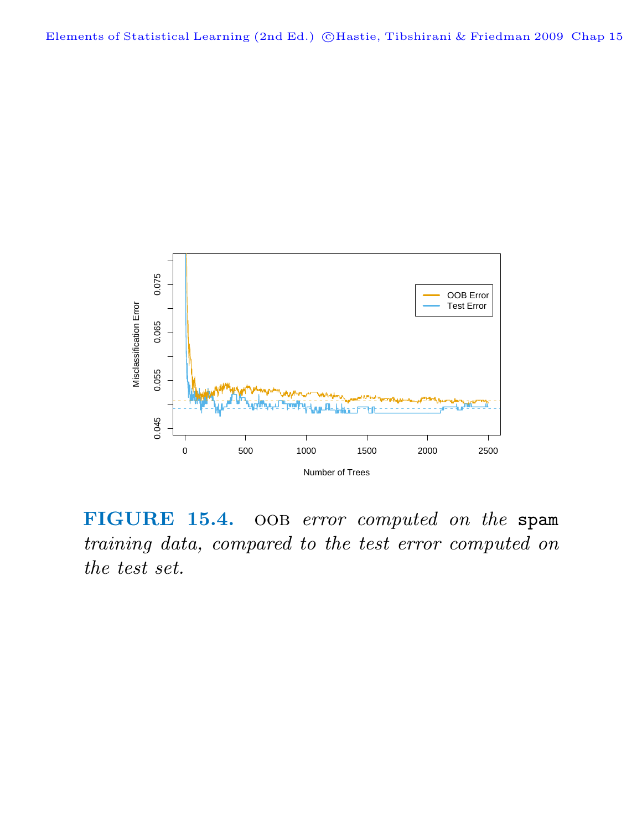

FIGURE 15.4. OOB error computed on the spam training data, compared to the test error computed on the test set.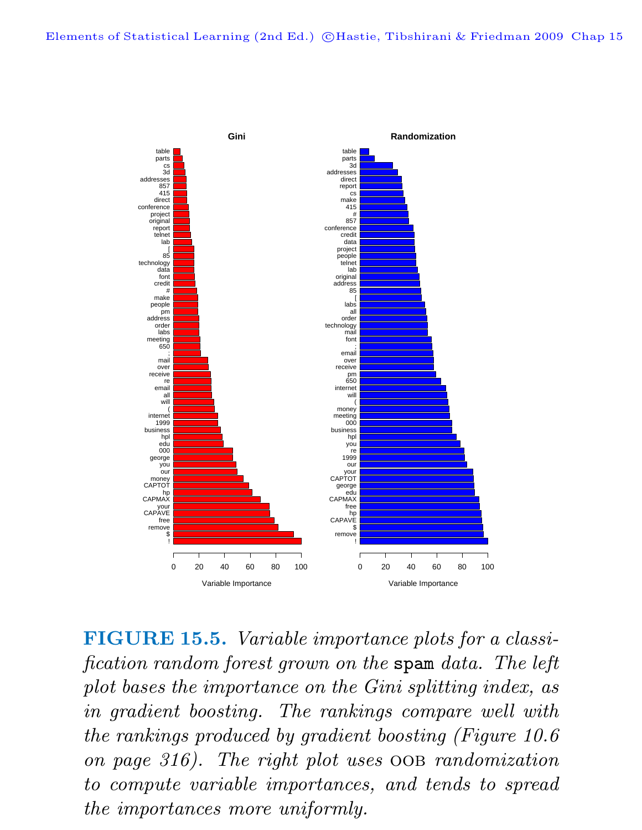

**FIGURE 15.5.** Variable importance plots for a classification random forest grown on the spam data. The left plot bases the importance on the Gini splitting index, as in gradient boosting. The rankings compare well with the rankings produced by gradient boosting (Figure 10.6 on page 316). The right plot uses oob randomization to compute variable importances, and tends to spread the importances more uniformly.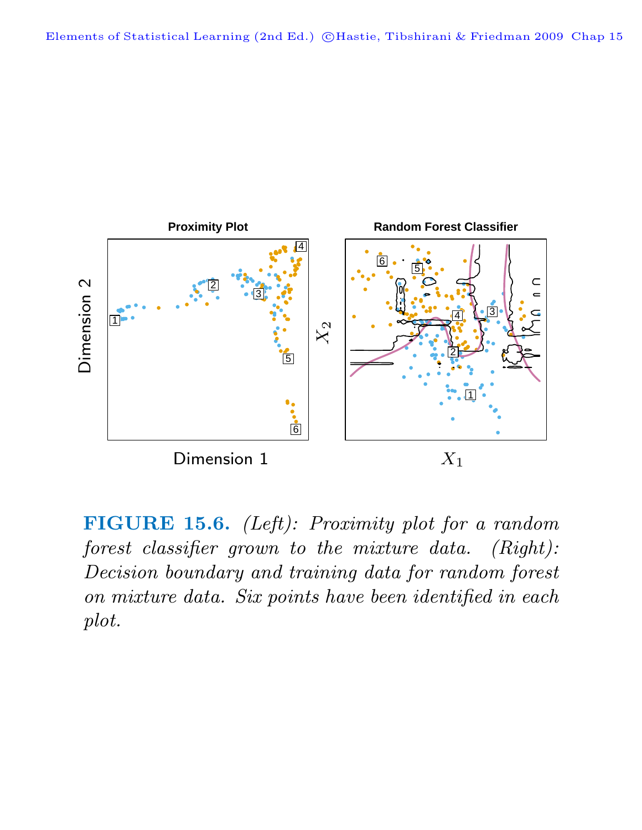

**FIGURE 15.6.** (Left): Proximity plot for a random forest classifier grown to the mixture data. (Right): Decision boundary and training data for random forest on mixture data. Six points have been identified in each plot.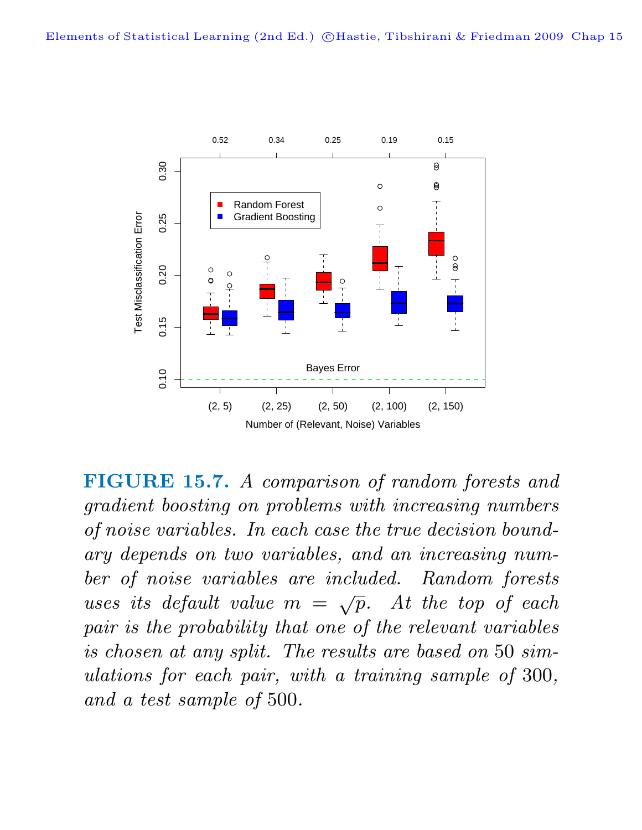

**FIGURE 15.7.** A comparison of random forests and gradient boosting on problems with increasing numbers of noise variables. In each case the true decision boundary depends on two variables, and an increasing number of noise variables are included. Random forests uses its default value  $m = \sqrt{p}$ . At the top of each pair is the probability that one of the relevant variables is chosen at any split. The results are based on 50 simulations for each pair, with a training sample of 300, and a test sample of 500.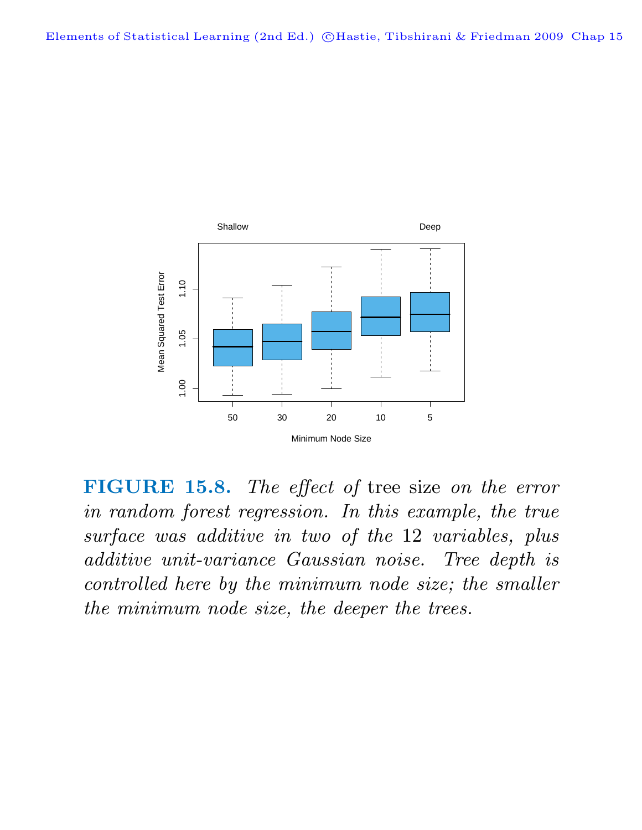

**FIGURE 15.8.** The effect of tree size on the error in random forest regression. In this example, the true surface was additive in two of the 12 variables, plus additive unit-variance Gaussian noise. Tree depth is controlled here by the minimum node size; the smaller the minimum node size, the deeper the trees.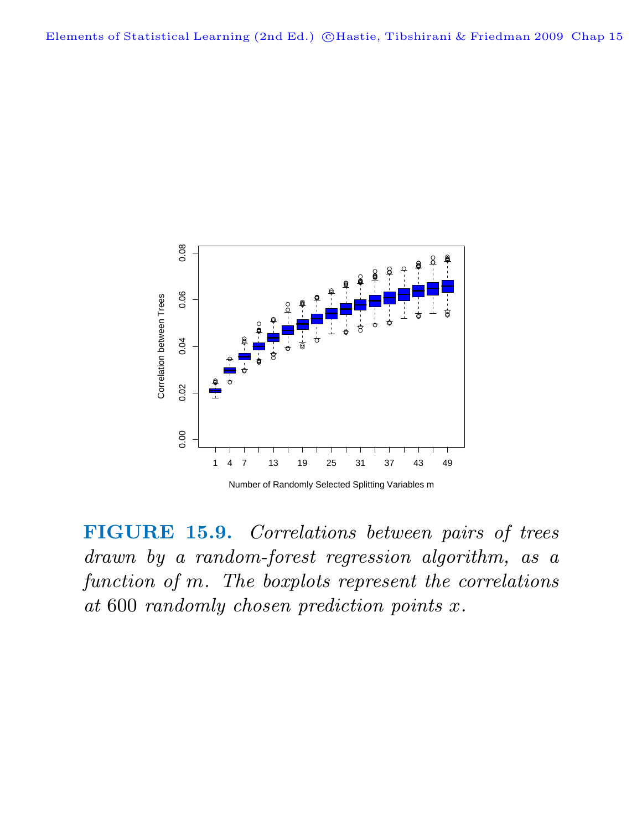

**FIGURE 15.9.** Correlations between pairs of trees drawn by a random-forest regression algorithm, as a

function of m. The boxplots represent the correlations at 600 randomly chosen prediction points x.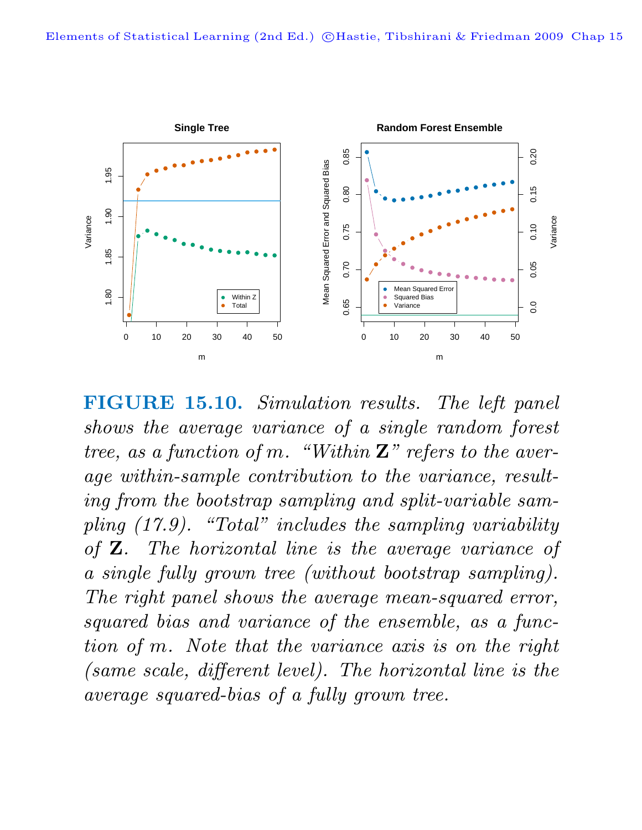

**FIGURE 15.10.** Simulation results. The left panel shows the average variance of a single random forest tree, as a function of m. "Within **Z**" refers to the average within-sample contribution to the variance, resulting from the bootstrap sampling and split-variable sampling (17.9). "Total" includes the sampling variability of **Z**. The horizontal line is the average variance of a single fully grown tree (without bootstrap sampling). The right panel shows the average mean-squared error, squared bias and variance of the ensemble, as a function of m. Note that the variance axis is on the right (same scale, different level). The horizontal line is the average squared-bias of a fully grown tree.